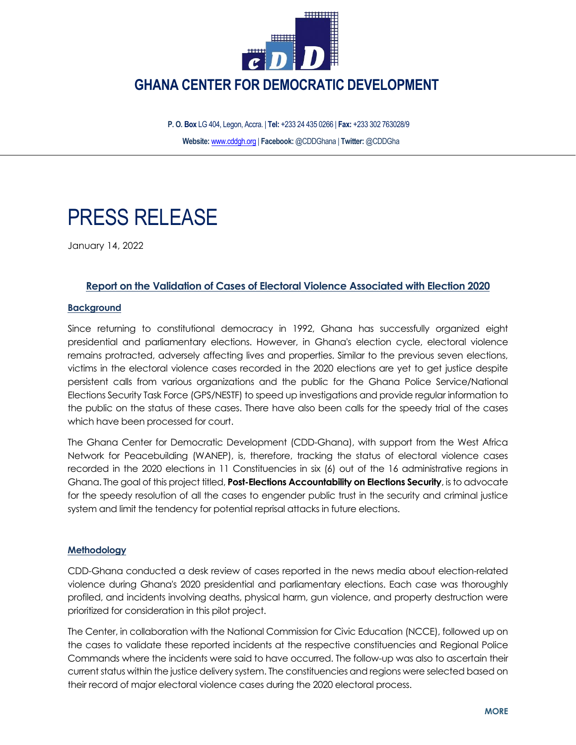

 **GHANA CENTER FOR DEMOCRATIC DEVELOPMENT**

 **P. O. Box** LG 404, Legon, Accra. | **Tel:** +233 24 435 0266 | **Fax:** +233 302 763028/9 **Website:** [www.cddgh.org](http://www.cddgh.org/) | **Facebook:** @CDDGhana | **Twitter:** @CDDGha

# PRESS RELEASE

January 14, 2022

## **Report on the Validation of Cases of Electoral Violence Associated with Election 2020**

#### **Background**

Since returning to constitutional democracy in 1992, Ghana has successfully organized eight presidential and parliamentary elections. However, in Ghana's election cycle, electoral violence remains protracted, adversely affecting lives and properties. Similar to the previous seven elections, victims in the electoral violence cases recorded in the 2020 elections are yet to get justice despite persistent calls from various organizations and the public for the Ghana Police Service/National Elections Security Task Force (GPS/NESTF) to speed up investigations and provide regular information to the public on the status of these cases. There have also been calls for the speedy trial of the cases which have been processed for court.

The Ghana Center for Democratic Development (CDD-Ghana), with support from the West Africa Network for Peacebuilding (WANEP), is, therefore, tracking the status of electoral violence cases recorded in the 2020 elections in 11 Constituencies in six (6) out of the 16 administrative regions in Ghana. The goal of this project titled, **Post-Elections Accountability on Elections Security**, is to advocate for the speedy resolution of all the cases to engender public trust in the security and criminal justice system and limit the tendency for potential reprisal attacks in future elections.

#### **Methodology**

CDD-Ghana conducted a desk review of cases reported in the news media about election-related violence during Ghana's 2020 presidential and parliamentary elections. Each case was thoroughly profiled, and incidents involving deaths, physical harm, gun violence, and property destruction were prioritized for consideration in this pilot project.

The Center, in collaboration with the National Commission for Civic Education (NCCE), followed up on the cases to validate these reported incidents at the respective constituencies and Regional Police Commands where the incidents were said to have occurred. The follow-up was also to ascertain their current status within the justice delivery system. The constituencies and regions were selected based on their record of major electoral violence cases during the 2020 electoral process.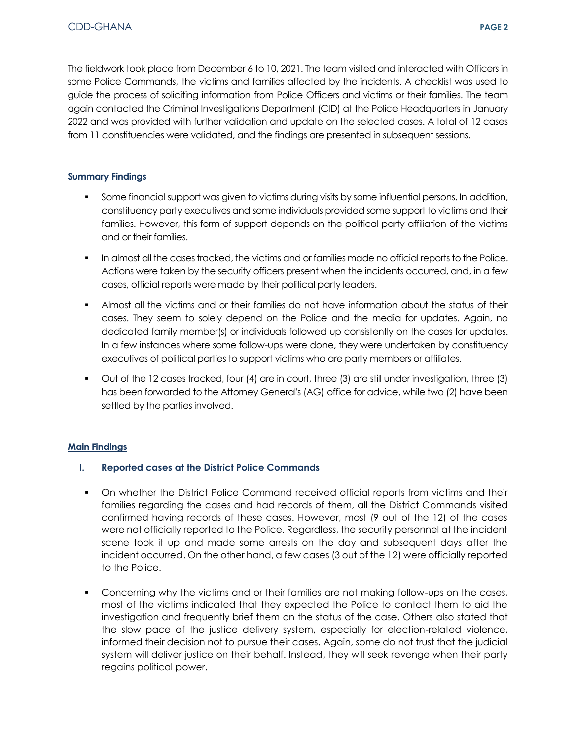The fieldwork took place from December 6 to 10, 2021. The team visited and interacted with Officers in some Police Commands, the victims and families affected by the incidents. A checklist was used to guide the process of soliciting information from Police Officers and victims or their families. The team again contacted the Criminal Investigations Department (CID) at the Police Headquarters in January 2022 and was provided with further validation and update on the selected cases. A total of 12 cases from 11 constituencies were validated, and the findings are presented in subsequent sessions.

### **Summary Findings**

- Some financial support was given to victims during visits by some influential persons. In addition, constituency party executives and some individuals provided some support to victims and their families. However, this form of support depends on the political party affiliation of the victims and or their families.
- **IDED The almost all the cases tracked, the victims and or families made no official reports to the Police.** Actions were taken by the security officers present when the incidents occurred, and, in a few cases, official reports were made by their political party leaders.
- Almost all the victims and or their families do not have information about the status of their cases. They seem to solely depend on the Police and the media for updates. Again, no dedicated family member(s) or individuals followed up consistently on the cases for updates. In a few instances where some follow-ups were done, they were undertaken by constituency executives of political parties to support victims who are party members or affiliates.
- Out of the 12 cases tracked, four (4) are in court, three (3) are still under investigation, three (3) has been forwarded to the Attorney General's (AG) office for advice, while two (2) have been settled by the parties involved.

### **Main Findings**

### **I. Reported cases at the District Police Commands**

- On whether the District Police Command received official reports from victims and their families regarding the cases and had records of them, all the District Commands visited confirmed having records of these cases. However, most (9 out of the 12) of the cases were not officially reported to the Police. Regardless, the security personnel at the incident scene took it up and made some arrests on the day and subsequent days after the incident occurred. On the other hand, a few cases (3 out of the 12) were officially reported to the Police.
- Concerning why the victims and or their families are not making follow-ups on the cases, most of the victims indicated that they expected the Police to contact them to aid the investigation and frequently brief them on the status of the case. Others also stated that the slow pace of the justice delivery system, especially for election-related violence, informed their decision not to pursue their cases. Again, some do not trust that the judicial system will deliver justice on their behalf. Instead, they will seek revenge when their party regains political power.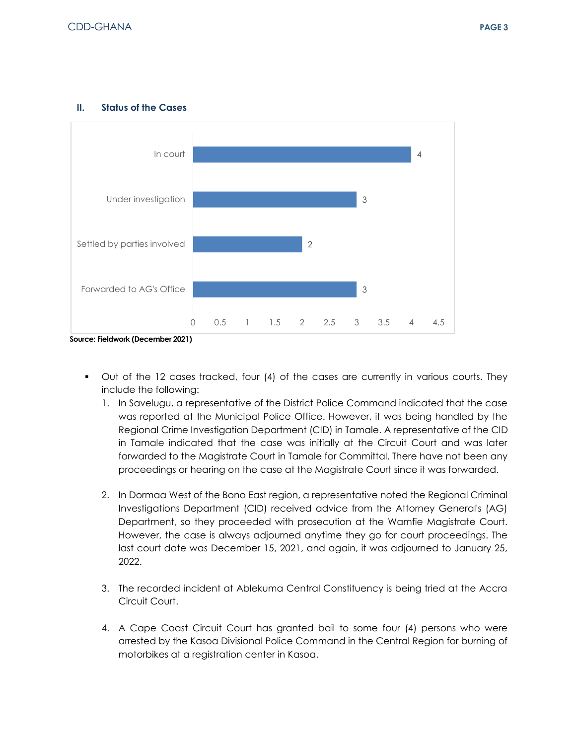

#### **II. Status of the Cases**

- Out of the 12 cases tracked, four (4) of the cases are currently in various courts. They include the following:
	- 1. In Savelugu, a representative of the District Police Command indicated that the case was reported at the Municipal Police Office. However, it was being handled by the Regional Crime Investigation Department (CID) in Tamale. A representative of the CID in Tamale indicated that the case was initially at the Circuit Court and was later forwarded to the Magistrate Court in Tamale for Committal. There have not been any proceedings or hearing on the case at the Magistrate Court since it was forwarded.
	- 2. In Dormaa West of the Bono East region, a representative noted the Regional Criminal Investigations Department (CID) received advice from the Attorney General's (AG) Department, so they proceeded with prosecution at the Wamfie Magistrate Court. However, the case is always adjourned anytime they go for court proceedings. The last court date was December 15, 2021, and again, it was adjourned to January 25, 2022.
	- 3. The recorded incident at Ablekuma Central Constituency is being tried at the Accra Circuit Court.
	- 4. A Cape Coast Circuit Court has granted bail to some four (4) persons who were arrested by the Kasoa Divisional Police Command in the Central Region for burning of motorbikes at a registration center in Kasoa.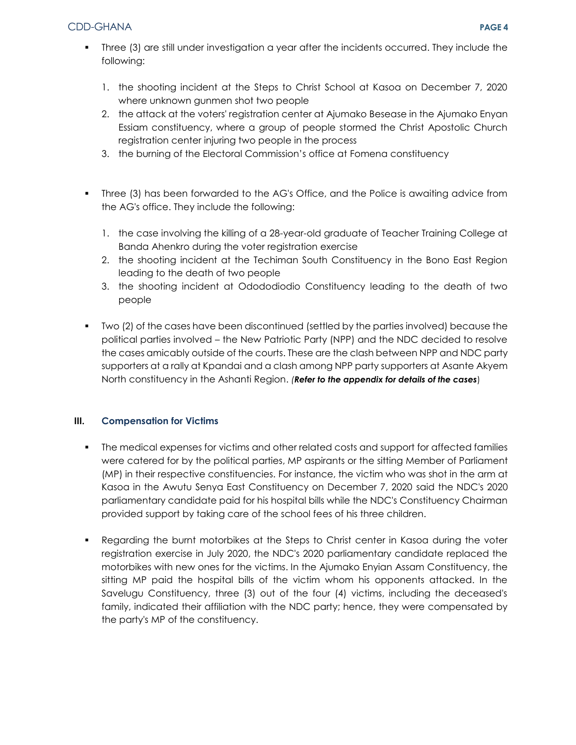- Three (3) are still under investigation a year after the incidents occurred. They include the following:
	- 1. the shooting incident at the Steps to Christ School at Kasoa on December 7, 2020 where unknown gunmen shot two people
	- 2. the attack at the voters' registration center at Ajumako Besease in the Ajumako Enyan Essiam constituency, where a group of people stormed the Christ Apostolic Church registration center injuring two people in the process
	- 3. the burning of the Electoral Commission's office at Fomena constituency
- Three (3) has been forwarded to the AG's Office, and the Police is awaiting advice from the AG's office. They include the following:
	- 1. the case involving the killing of a 28-year-old graduate of Teacher Training College at Banda Ahenkro during the voter registration exercise
	- 2. the shooting incident at the Techiman South Constituency in the Bono East Region leading to the death of two people
	- 3. the shooting incident at Odododiodio Constituency leading to the death of two people
- Two (2) of the cases have been discontinued (settled by the parties involved) because the political parties involved – the New Patriotic Party (NPP) and the NDC decided to resolve the cases amicably outside of the courts. These are the clash between NPP and NDC party supporters at a rally at Kpandai and a clash among NPP party supporters at Asante Akyem North constituency in the Ashanti Region. *(Refer to the appendix for details of the cases*)

## **III. Compensation for Victims**

- The medical expenses for victims and other related costs and support for affected families were catered for by the political parties, MP aspirants or the sitting Member of Parliament (MP) in their respective constituencies. For instance, the victim who was shot in the arm at Kasoa in the Awutu Senya East Constituency on December 7, 2020 said the NDC's 2020 parliamentary candidate paid for his hospital bills while the NDC's Constituency Chairman provided support by taking care of the school fees of his three children.
- Regarding the burnt motorbikes at the Steps to Christ center in Kasoa during the voter registration exercise in July 2020, the NDC's 2020 parliamentary candidate replaced the motorbikes with new ones for the victims. In the Ajumako Enyian Assam Constituency, the sitting MP paid the hospital bills of the victim whom his opponents attacked. In the Savelugu Constituency, three (3) out of the four (4) victims, including the deceased's family, indicated their affiliation with the NDC party; hence, they were compensated by the party's MP of the constituency.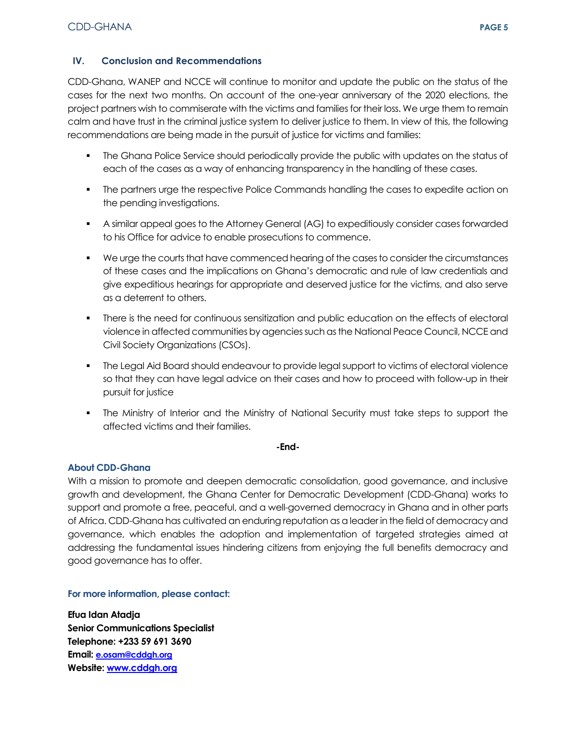## **IV. Conclusion and Recommendations**

CDD-Ghana, WANEP and NCCE will continue to monitor and update the public on the status of the cases for the next two months. On account of the one-year anniversary of the 2020 elections, the project partners wish to commiserate with the victims and families for their loss. We urge them to remain calm and have trust in the criminal justice system to deliver justice to them. In view of this, the following recommendations are being made in the pursuit of justice for victims and families:

- The Ghana Police Service should periodically provide the public with updates on the status of each of the cases as a way of enhancing transparency in the handling of these cases.
- The partners urge the respective Police Commands handling the cases to expedite action on the pending investigations.
- A similar appeal goes to the Attorney General (AG) to expeditiously consider cases forwarded to his Office for advice to enable prosecutions to commence.
- We urge the courts that have commenced hearing of the cases to consider the circumstances of these cases and the implications on Ghana's democratic and rule of law credentials and give expeditious hearings for appropriate and deserved justice for the victims, and also serve as a deterrent to others.
- **There is the need for continuous sensitization and public education on the effects of electoral** violence in affected communities by agencies such as the National Peace Council, NCCE and Civil Society Organizations (CSOs).
- The Legal Aid Board should endeavour to provide legal support to victims of electoral violence so that they can have legal advice on their cases and how to proceed with follow-up in their pursuit for justice
- The Ministry of Interior and the Ministry of National Security must take steps to support the affected victims and their families.

#### **-End-**

### **About CDD-Ghana**

With a mission to promote and deepen democratic consolidation, good governance, and inclusive growth and development, the Ghana Center for Democratic Development (CDD-Ghana) works to support and promote a free, peaceful, and a well-governed democracy in Ghana and in other parts of Africa. CDD-Ghana has cultivated an enduring reputation as a leader in the field of democracy and governance, which enables the adoption and implementation of targeted strategies aimed at addressing the fundamental issues hindering citizens from enjoying the full benefits democracy and good governance has to offer.

**For more information, please contact:** 

**Efua Idan Atadja Senior Communications Specialist Telephone: +233 59 691 3690 Email: [e.osam@cddgh.org](mailto:e.osam@cddgh.org) Website[: www.cddgh.org](http://www.cddgh.org/)**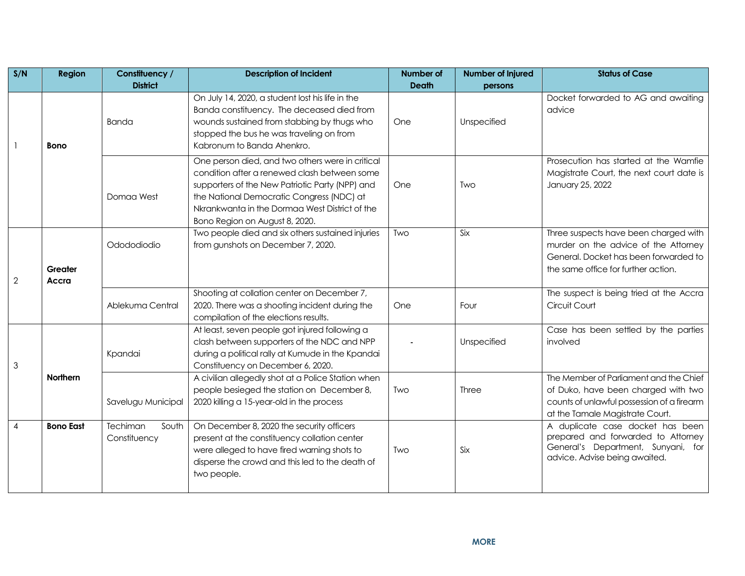| S/N            | <b>Region</b>    | Constituency /<br><b>District</b> | <b>Description of Incident</b>                                                                                                                                                                                                                                                       | Number of<br><b>Death</b> | Number of Injured<br>persons | <b>Status of Case</b>                                                                                                                                          |
|----------------|------------------|-----------------------------------|--------------------------------------------------------------------------------------------------------------------------------------------------------------------------------------------------------------------------------------------------------------------------------------|---------------------------|------------------------------|----------------------------------------------------------------------------------------------------------------------------------------------------------------|
|                | <b>Bono</b>      | Banda                             | On July 14, 2020, a student lost his life in the<br>Banda constituency. The deceased died from<br>wounds sustained from stabbing by thugs who<br>stopped the bus he was traveling on from<br>Kabronum to Banda Ahenkro.                                                              | One                       | Unspecified                  | Docket forwarded to AG and awaiting<br>advice                                                                                                                  |
|                |                  | Domaa West                        | One person died, and two others were in critical<br>condition after a renewed clash between some<br>supporters of the New Patriotic Party (NPP) and<br>the National Democratic Congress (NDC) at<br>Nkrankwanta in the Dormaa West District of the<br>Bono Region on August 8, 2020. | One                       | Two                          | Prosecution has started at the Wamfie<br>Magistrate Court, the next court date is<br>January 25, 2022                                                          |
| $\mathbf{2}$   | Greater<br>Accra | Odododiodio                       | Two people died and six others sustained injuries<br>from gunshots on December 7, 2020.                                                                                                                                                                                              | Two                       | Six                          | Three suspects have been charged with<br>murder on the advice of the Attorney<br>General. Docket has been forwarded to<br>the same office for further action.  |
|                |                  | Ablekuma Central                  | Shooting at collation center on December 7,<br>2020. There was a shooting incident during the<br>compilation of the elections results.                                                                                                                                               | One                       | Four                         | The suspect is being tried at the Accra<br>Circuit Court                                                                                                       |
| 3              | Northern         | Kpandai                           | At least, seven people got injured following a<br>clash between supporters of the NDC and NPP<br>during a political rally at Kumude in the Kpandai<br>Constituency on December 6, 2020.                                                                                              |                           | Unspecified                  | Case has been settled by the parties<br>involved                                                                                                               |
|                |                  | Savelugu Municipal                | A civilian allegedly shot at a Police Station when<br>people besieged the station on December 8,<br>2020 killing a 15-year-old in the process                                                                                                                                        | Two                       | Three                        | The Member of Parliament and the Chief<br>of Duko, have been charged with two<br>counts of unlawful possession of a firearm<br>at the Tamale Magistrate Court. |
| $\overline{4}$ | <b>Bono East</b> | Techiman<br>South<br>Constituency | On December 8, 2020 the security officers<br>present at the constituency collation center<br>were alleged to have fired warning shots to<br>disperse the crowd and this led to the death of<br>two people.                                                                           | Two                       | Six                          | A duplicate case docket has been<br>prepared and forwarded to Attorney<br>General's Department, Sunyani, for<br>advice. Advise being awaited.                  |